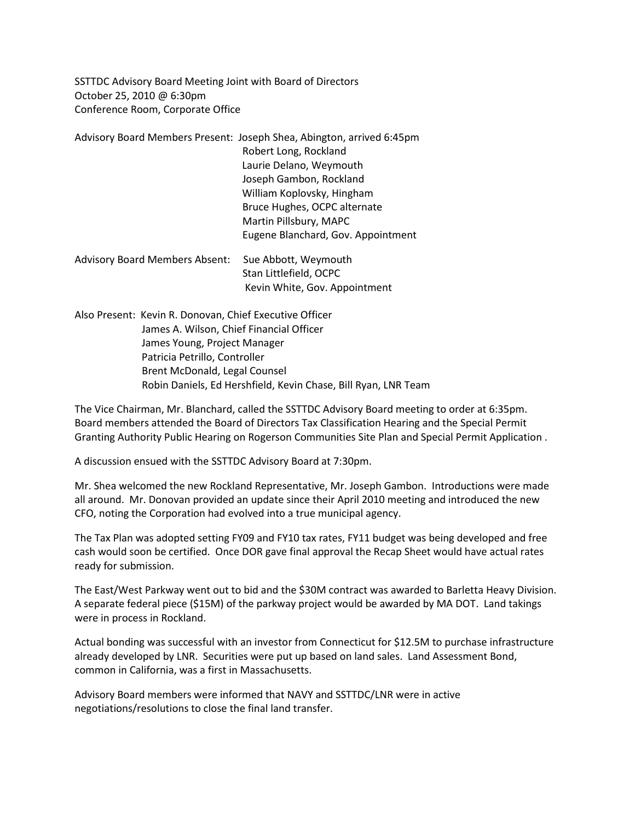SSTTDC Advisory Board Meeting Joint with Board of Directors October 25, 2010 @ 6:30pm Conference Room, Corporate Office

Advisory Board Members Present: Joseph Shea, Abington, arrived 6:45pm Robert Long, Rockland Laurie Delano, Weymouth Joseph Gambon, Rockland William Koplovsky, Hingham Bruce Hughes, OCPC alternate Martin Pillsbury, MAPC Eugene Blanchard, Gov. Appointment Advisory Board Members Absent: Sue Abbott, Weymouth

 Stan Littlefield, OCPC Kevin White, Gov. Appointment

Also Present: Kevin R. Donovan, Chief Executive Officer James A. Wilson, Chief Financial Officer James Young, Project Manager Patricia Petrillo, Controller Brent McDonald, Legal Counsel Robin Daniels, Ed Hershfield, Kevin Chase, Bill Ryan, LNR Team

The Vice Chairman, Mr. Blanchard, called the SSTTDC Advisory Board meeting to order at 6:35pm. Board members attended the Board of Directors Tax Classification Hearing and the Special Permit Granting Authority Public Hearing on Rogerson Communities Site Plan and Special Permit Application .

A discussion ensued with the SSTTDC Advisory Board at 7:30pm.

Mr. Shea welcomed the new Rockland Representative, Mr. Joseph Gambon. Introductions were made all around. Mr. Donovan provided an update since their April 2010 meeting and introduced the new CFO, noting the Corporation had evolved into a true municipal agency.

The Tax Plan was adopted setting FY09 and FY10 tax rates, FY11 budget was being developed and free cash would soon be certified. Once DOR gave final approval the Recap Sheet would have actual rates ready for submission.

The East/West Parkway went out to bid and the \$30M contract was awarded to Barletta Heavy Division. A separate federal piece (\$15M) of the parkway project would be awarded by MA DOT. Land takings were in process in Rockland.

Actual bonding was successful with an investor from Connecticut for \$12.5M to purchase infrastructure already developed by LNR. Securities were put up based on land sales. Land Assessment Bond, common in California, was a first in Massachusetts.

Advisory Board members were informed that NAVY and SSTTDC/LNR were in active negotiations/resolutions to close the final land transfer.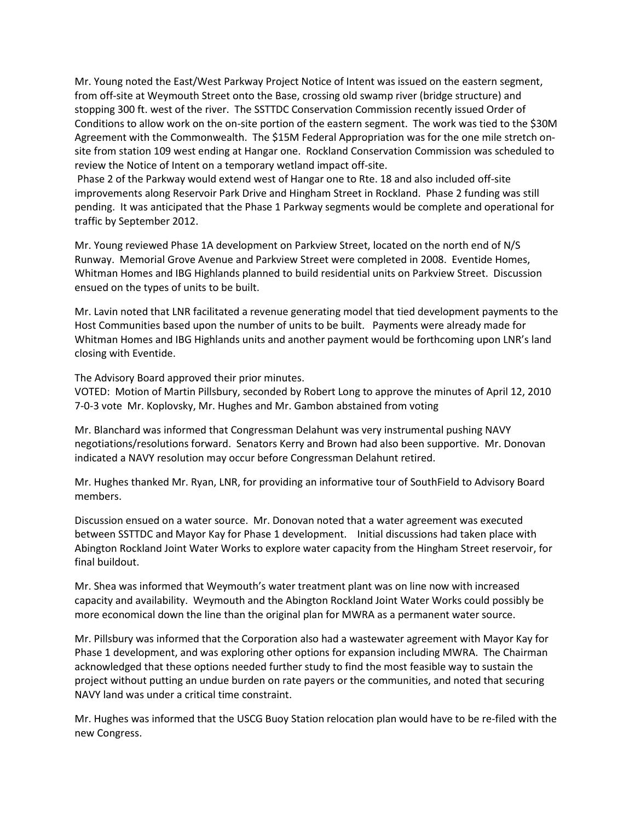Mr. Young noted the East/West Parkway Project Notice of Intent was issued on the eastern segment, from off-site at Weymouth Street onto the Base, crossing old swamp river (bridge structure) and stopping 300 ft. west of the river. The SSTTDC Conservation Commission recently issued Order of Conditions to allow work on the on-site portion of the eastern segment. The work was tied to the \$30M Agreement with the Commonwealth. The \$15M Federal Appropriation was for the one mile stretch onsite from station 109 west ending at Hangar one. Rockland Conservation Commission was scheduled to review the Notice of Intent on a temporary wetland impact off-site.

Phase 2 of the Parkway would extend west of Hangar one to Rte. 18 and also included off-site improvements along Reservoir Park Drive and Hingham Street in Rockland. Phase 2 funding was still pending. It was anticipated that the Phase 1 Parkway segments would be complete and operational for traffic by September 2012.

Mr. Young reviewed Phase 1A development on Parkview Street, located on the north end of N/S Runway. Memorial Grove Avenue and Parkview Street were completed in 2008. Eventide Homes, Whitman Homes and IBG Highlands planned to build residential units on Parkview Street. Discussion ensued on the types of units to be built.

Mr. Lavin noted that LNR facilitated a revenue generating model that tied development payments to the Host Communities based upon the number of units to be built. Payments were already made for Whitman Homes and IBG Highlands units and another payment would be forthcoming upon LNR's land closing with Eventide.

The Advisory Board approved their prior minutes.

VOTED: Motion of Martin Pillsbury, seconded by Robert Long to approve the minutes of April 12, 2010 7-0-3 vote Mr. Koplovsky, Mr. Hughes and Mr. Gambon abstained from voting

Mr. Blanchard was informed that Congressman Delahunt was very instrumental pushing NAVY negotiations/resolutions forward. Senators Kerry and Brown had also been supportive. Mr. Donovan indicated a NAVY resolution may occur before Congressman Delahunt retired.

Mr. Hughes thanked Mr. Ryan, LNR, for providing an informative tour of SouthField to Advisory Board members.

Discussion ensued on a water source. Mr. Donovan noted that a water agreement was executed between SSTTDC and Mayor Kay for Phase 1 development. Initial discussions had taken place with Abington Rockland Joint Water Works to explore water capacity from the Hingham Street reservoir, for final buildout.

Mr. Shea was informed that Weymouth's water treatment plant was on line now with increased capacity and availability. Weymouth and the Abington Rockland Joint Water Works could possibly be more economical down the line than the original plan for MWRA as a permanent water source.

Mr. Pillsbury was informed that the Corporation also had a wastewater agreement with Mayor Kay for Phase 1 development, and was exploring other options for expansion including MWRA. The Chairman acknowledged that these options needed further study to find the most feasible way to sustain the project without putting an undue burden on rate payers or the communities, and noted that securing NAVY land was under a critical time constraint.

Mr. Hughes was informed that the USCG Buoy Station relocation plan would have to be re-filed with the new Congress.